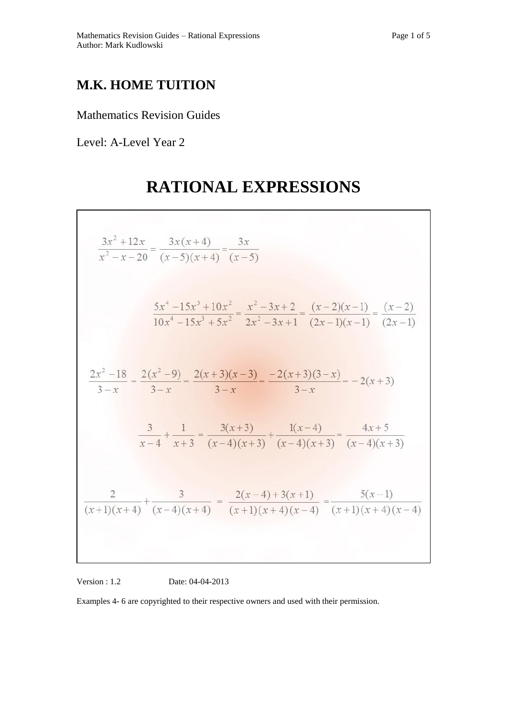## **M.K. HOME TUITION**

Mathematics Revision Guides

Level: A-Level Year 2

## **RATIONAL EXPRESSIONS**

$$
\frac{3x^2 + 12x}{x^2 - x - 20} = \frac{3x(x+4)}{(x-5)(x+4)} = \frac{3x}{(x-5)}
$$
  

$$
\frac{5x^4 - 15x^3 + 10x^2}{10x^4 - 15x^3 + 5x^2} = \frac{x^2 - 3x + 2}{2x^2 - 3x + 1} = \frac{(x-2)(x-1)}{(2x-1)(x-1)} = \frac{(x-2)}{(2x-1)}
$$
  

$$
\frac{2x^2 - 18}{3 - x} = \frac{2(x^2 - 9)}{3 - x} = \frac{2(x+3)(x-3)}{3 - x} = \frac{-2(x+3)(3-x)}{3 - x} = -2(x+3)
$$
  

$$
\frac{3}{x-4} + \frac{1}{x+3} = \frac{3(x+3)}{(x-4)(x+3)} + \frac{1(x-4)}{(x-4)(x+3)} = \frac{4x+5}{(x-4)(x+3)}
$$
  

$$
\frac{2}{(x+1)(x+4)} + \frac{3}{(x-4)(x+4)} = \frac{2(x-4) + 3(x+1)}{(x+1)(x+4)(x-4)} = \frac{5(x-1)}{(x+1)(x+4)(x-4)}
$$

Version : 1.2 Date: 04-04-2013

Examples 4- 6 are copyrighted to their respective owners and used with their permission.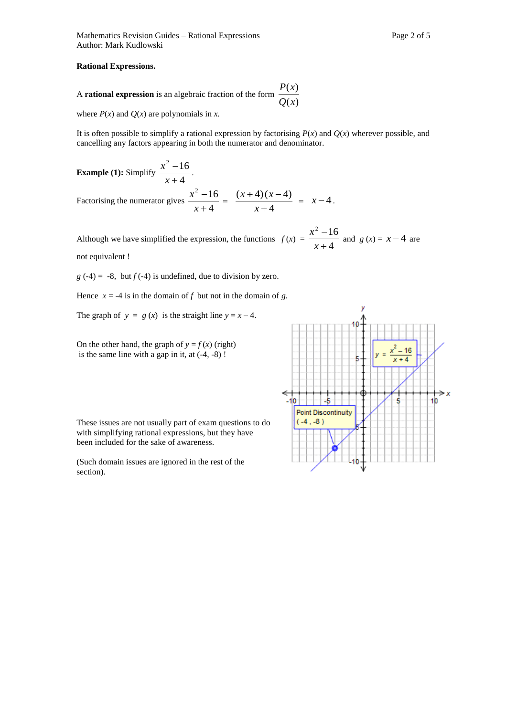## **Rational Expressions.**

A **rational expression** is an algebraic fraction of the form  $\frac{d(x)}{Q(x)}$  $\left( x\right)$ *Q x*  $P(x)$ 

where  $P(x)$  and  $Q(x)$  are polynomials in *x*.

It is often possible to simplify a rational expression by factorising  $P(x)$  and  $Q(x)$  wherever possible, and cancelling any factors appearing in both the numerator and denominator.

**Example (1):** Simplify  $\frac{x}{x+4}$  $2 - 16$  $\ddot{}$  $\overline{a}$ *x*  $\frac{x^2-16}{x}$ . Factorising the numerator gives  $\frac{x}{x+4}$  $2 - 16$  $^{+}$  $\overline{a}$ *x*  $\frac{x^2 - 16}{x+4} = \frac{(x+4)(x+4)}{x+4}$  $(x+4)(x-4)$  $^{+}$  $+4(x$ *x*  $\frac{x+4(x-4)}{x-4} = x-4$ .

Although we have simplified the expression, the functions  $f(x) = \frac{x^2 + 4}{x+4}$  $^{2}-16$  $\overline{+}$  $\overline{a}$ *x*  $\frac{x^2 - 16}{4}$  and *g (x)* = *x* – 4 are

not equivalent !

 $g(-4) = -8$ , but  $f(-4)$  is undefined, due to division by zero.

Hence  $x = -4$  is in the domain of f but not in the domain of g.

The graph of  $y = g(x)$  is the straight line  $y = x - 4$ .

On the other hand, the graph of  $y = f(x)$  (right) is the same line with a gap in it, at  $(-4, -8)$ !

These issues are not usually part of exam questions to do with simplifying rational expressions, but they have been included for the sake of awareness.

(Such domain issues are ignored in the rest of the section).

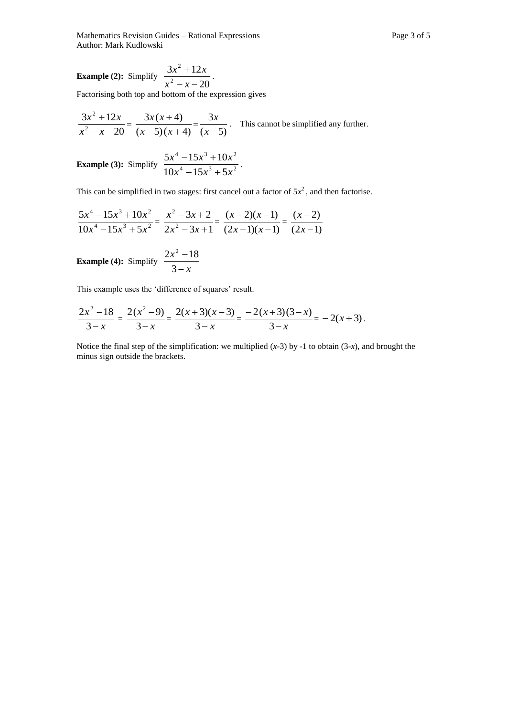Mathematics Revision Guides – Rational Expressions Page 3 of 5 Author: Mark Kudlowski

**Example (2):** Simplify  $\frac{2x^2 + 12x}{x^2 - x - 20}$  $3x^2 + 12$ 2 2  $-x ^{+}$  $x^2 - x$  $\frac{x^2+12x}{x}$ .

Factorising both top and bottom of the expression gives

$$
\frac{3x^2 + 12x}{x^2 - x - 20} = \frac{3x(x+4)}{(x-5)(x+4)} = \frac{3x}{(x-5)}
$$
. This cannot be simplified any further.

**Example (3):** Simplify 
$$
\frac{5x^4 - 15x^3 + 10x^2}{10x^4 - 15x^3 + 5x^2}
$$
.

This can be simplified in two stages: first cancel out a factor of  $5x^2$ , and then factorise.

$$
\frac{5x^4 - 15x^3 + 10x^2}{10x^4 - 15x^3 + 5x^2} = \frac{x^2 - 3x + 2}{2x^2 - 3x + 1} = \frac{(x - 2)(x - 1)}{(2x - 1)(x - 1)} = \frac{(x - 2)}{(2x - 1)}
$$

**Example (4):** Simplify  $\frac{2x}{3-x}$ *x*  $\overline{a}$  $\overline{a}$ 3  $2x^2 - 18$ 

This example uses the 'difference of squares' result.

$$
\frac{2x^2 - 18}{3 - x} = \frac{2(x^2 - 9)}{3 - x} = \frac{2(x + 3)(x - 3)}{3 - x} = \frac{-2(x + 3)(3 - x)}{3 - x} = -2(x + 3).
$$

Notice the final step of the simplification: we multiplied (*x-*3) by -1 to obtain (3-*x*), and brought the minus sign outside the brackets.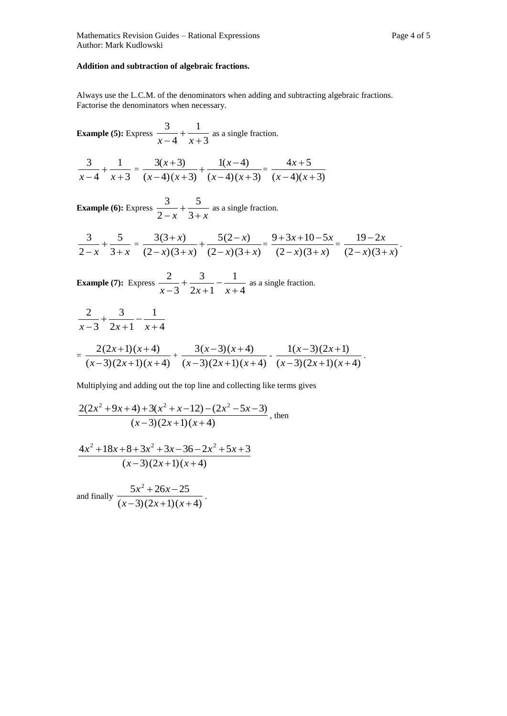## **Addition and subtraction of algebraic fractions.**

Always use the L.C.M. of the denominators when adding and subtracting algebraic fractions. Factorise the denominators when necessary.

**Example (5):** Express  $\frac{z}{x-4} + \frac{1}{x+3}$ 1 4 3  $\overline{+}$  $\overline{+}$  $\frac{x}{x-4} + \frac{1}{x+3}$  as a single fraction.

$$
\frac{3}{x-4} + \frac{1}{x+3} = \frac{3(x+3)}{(x-4)(x+3)} + \frac{1(x-4)}{(x-4)(x+3)} = \frac{4x+5}{(x-4)(x+3)}
$$

**Example (6):** Express  $\frac{z}{2-x} + \frac{z}{3+x}$  $\overline{+}$  $-x$  3 5 2  $\frac{3}{2}$  +  $\frac{5}{3}$  as a single fraction.

$$
\frac{3}{2-x} + \frac{5}{3+x} = \frac{3(3+x)}{(2-x)(3+x)} + \frac{5(2-x)}{(2-x)(3+x)} = \frac{9+3x+10-5x}{(2-x)(3+x)} = \frac{19-2x}{(2-x)(3+x)}.
$$

**Example (7):** Express  $\frac{-1}{x-3} + \frac{-1}{2x+1} - \frac{-1}{x+4}$ 1  $2x + 1$ 3 3 2  $\overline{+}$  $\overline{a}$  $^{+}$  $\ddot{}$  $\frac{x-2}{x-3} + \frac{y-2}{2x+1} - \frac{z}{x+4}$  as a single fraction.

$$
\frac{2}{x-3} + \frac{3}{2x+1} - \frac{1}{x+4}
$$
\n
$$
= \frac{2(2x+1)(x+4)}{(x-3)(2x+1)(x+4)} + \frac{3(x-3)(x+4)}{(x-3)(2x+1)(x+4)} - \frac{1(x-3)(2x+1)}{(x-3)(2x+1)(x+4)}.
$$

Multiplying and adding out the top line and collecting like terms gives

$$
\frac{2(2x^2+9x+4)+3(x^2+x-12)-(2x^2-5x-3)}{(x-3)(2x+1)(x+4)},
$$
 then

$$
\frac{4x^2+18x+8+3x^2+3x-36-2x^2+5x+3}{(x-3)(2x+1)(x+4)}
$$

and finally  $\frac{2x+2x+2x}{(x-3)(2x+1)(x+4)}$  $5x^2 + 26x - 25$  $(-3)(2x+1)(x+)$  $+26x (x-3)(2x+1)(x)$  $\frac{x^2 + 26x - 25}{x^2 + 26x - 25}$ .